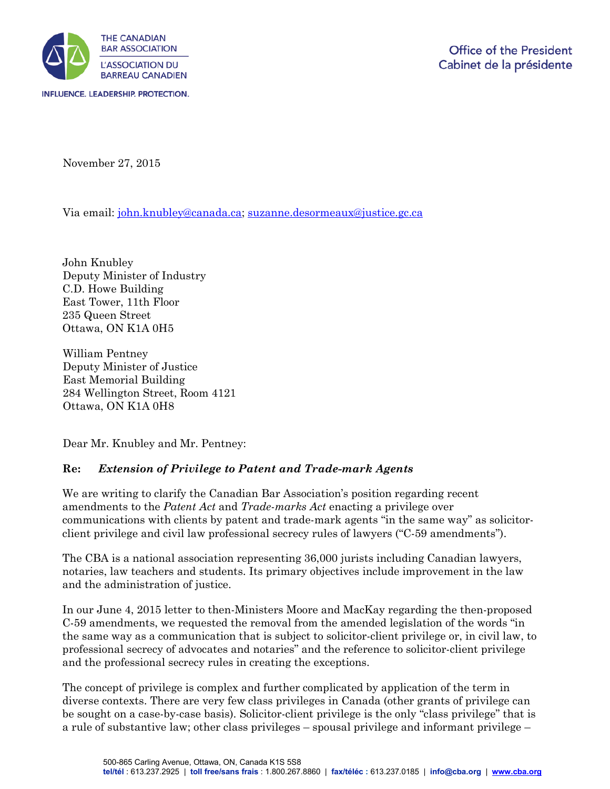

November 27, 2015

Via email: [john.knubley@canada.ca;](mailto:john.knubley@canada.ca) [suzanne.desormeaux@justice.gc.ca](mailto:suzanne.desormeaux@justice.gc.ca)

John Knubley Deputy Minister of Industry C.D. Howe Building East Tower, 11th Floor 235 Queen Street Ottawa, ON K1A 0H5

William Pentney Deputy Minister of Justice East Memorial Building 284 Wellington Street, Room 4121 Ottawa, ON K1A 0H8

Dear Mr. Knubley and Mr. Pentney:

## **Re:** *Extension of Privilege to Patent and Trade-mark Agents*

We are writing to clarify the Canadian Bar Association's position regarding recent amendments to the *Patent Act* and *Trade-marks Act* enacting a privilege over communications with clients by patent and trade-mark agents "in the same way" as solicitorclient privilege and civil law professional secrecy rules of lawyers ("C-59 amendments").

The CBA is a national association representing 36,000 jurists including Canadian lawyers, notaries, law teachers and students. Its primary objectives include improvement in the law and the administration of justice.

In our June 4, 2015 letter to then-Ministers Moore and MacKay regarding the then-proposed C-59 amendments, we requested the removal from the amended legislation of the words "in the same way as a communication that is subject to solicitor-client privilege or, in civil law, to professional secrecy of advocates and notaries" and the reference to solicitor-client privilege and the professional secrecy rules in creating the exceptions.

The concept of privilege is complex and further complicated by application of the term in diverse contexts. There are very few class privileges in Canada (other grants of privilege can be sought on a case-by-case basis). Solicitor-client privilege is the only "class privilege" that is a rule of substantive law; other class privileges – spousal privilege and informant privilege –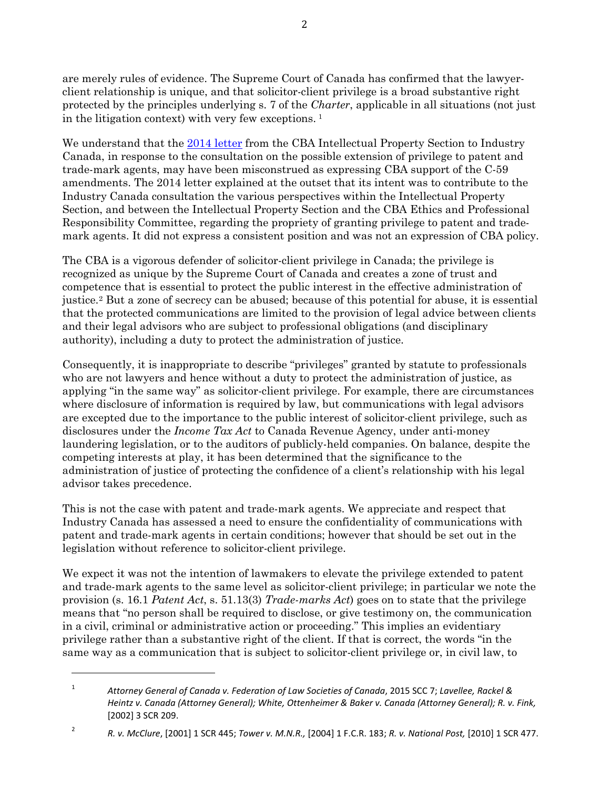are merely rules of evidence. The Supreme Court of Canada has confirmed that the lawyerclient relationship is unique, and that solicitor-client privilege is a broad substantive right protected by the principles underlying s. 7 of the *Charter*, applicable in all situations (not just in the litigation context) with very few exceptions. [1](#page-1-0) 

We understand that the [2014 letter](http://www.cba.org/CBA/submissions/pdf/14-28-eng.pdf) from the CBA Intellectual Property Section to Industry Canada, in response to the consultation on the possible extension of privilege to patent and trade-mark agents, may have been misconstrued as expressing CBA support of the C-59 amendments. The 2014 letter explained at the outset that its intent was to contribute to the Industry Canada consultation the various perspectives within the Intellectual Property Section, and between the Intellectual Property Section and the CBA Ethics and Professional Responsibility Committee, regarding the propriety of granting privilege to patent and trademark agents. It did not express a consistent position and was not an expression of CBA policy.

The CBA is a vigorous defender of solicitor-client privilege in Canada; the privilege is recognized as unique by the Supreme Court of Canada and creates a zone of trust and competence that is essential to protect the public interest in the effective administration of justice.[2](#page-1-1) But a zone of secrecy can be abused; because of this potential for abuse, it is essential that the protected communications are limited to the provision of legal advice between clients and their legal advisors who are subject to professional obligations (and disciplinary authority), including a duty to protect the administration of justice.

Consequently, it is inappropriate to describe "privileges" granted by statute to professionals who are not lawyers and hence without a duty to protect the administration of justice, as applying "in the same way" as solicitor-client privilege. For example, there are circumstances where disclosure of information is required by law, but communications with legal advisors are excepted due to the importance to the public interest of solicitor-client privilege, such as disclosures under the *Income Tax Act* to Canada Revenue Agency, under anti-money laundering legislation, or to the auditors of publicly-held companies. On balance, despite the competing interests at play, it has been determined that the significance to the administration of justice of protecting the confidence of a client's relationship with his legal advisor takes precedence.

This is not the case with patent and trade-mark agents. We appreciate and respect that Industry Canada has assessed a need to ensure the confidentiality of communications with patent and trade-mark agents in certain conditions; however that should be set out in the legislation without reference to solicitor-client privilege.

We expect it was not the intention of lawmakers to elevate the privilege extended to patent and trade-mark agents to the same level as solicitor-client privilege; in particular we note the provision (s. 16.1 *Patent Act*, s. 51.13(3) *Trade-marks Act*) goes on to state that the privilege means that "no person shall be required to disclose, or give testimony on, the communication in a civil, criminal or administrative action or proceeding." This implies an evidentiary privilege rather than a substantive right of the client. If that is correct, the words "in the same way as a communication that is subject to solicitor-client privilege or, in civil law, to

 $\overline{a}$ 

<span id="page-1-0"></span><sup>1</sup> *Attorney General of Canada v. Federation of Law Societies of Canada*, 2015 SCC 7; *Lavellee, Rackel & Heintz v. Canada (Attorney General); White, Ottenheimer & Baker v. Canada (Attorney General); R. v. Fink,* [2002] 3 SCR 209.

<span id="page-1-1"></span><sup>2</sup> *R. v. McClure*, [2001] 1 SCR 445; *Tower v. M.N.R.,* [2004] 1 F.C.R. 183; *R. v. National Post,* [2010] 1 SCR 477.